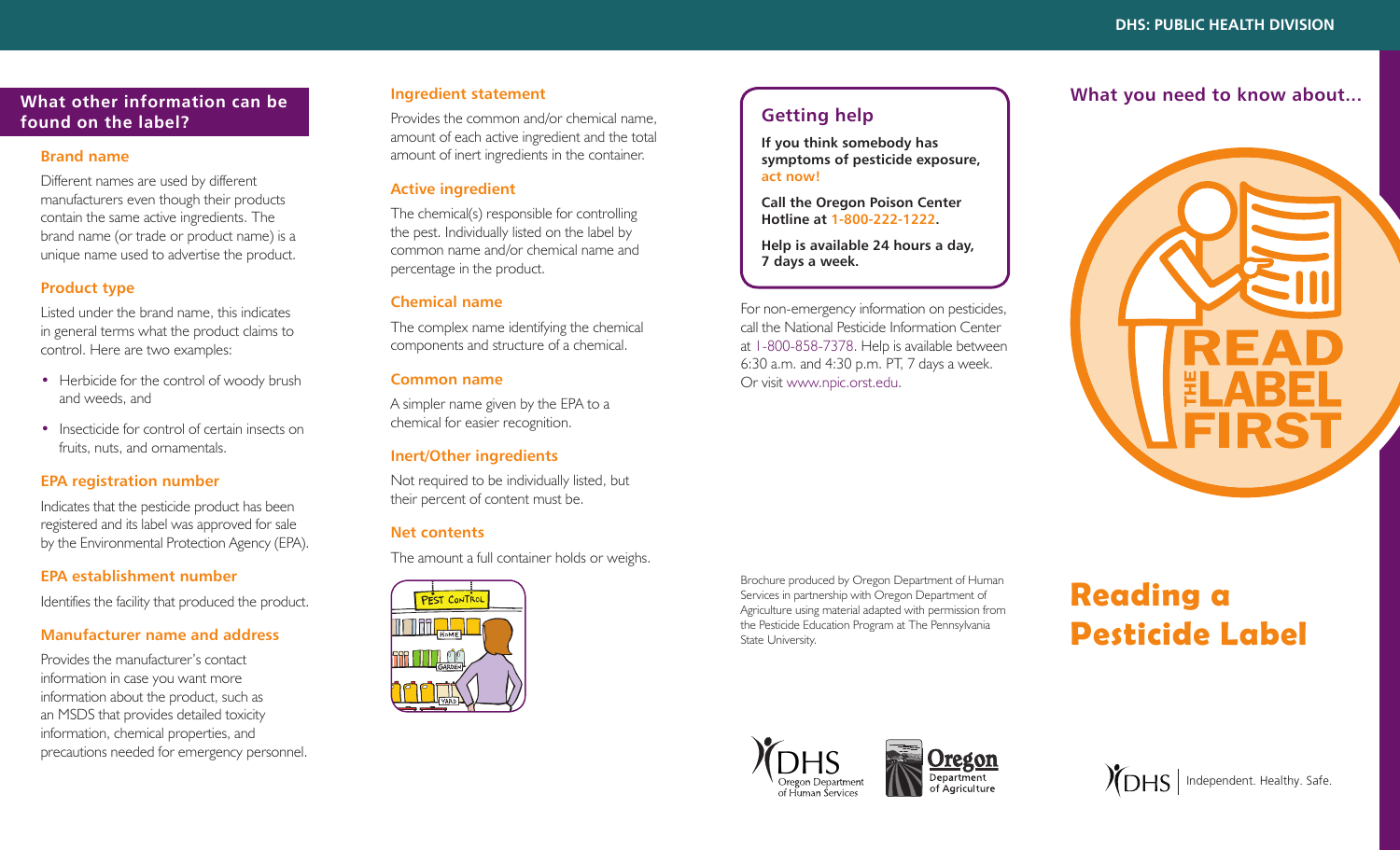# **What other information can be found on the label?**

### **Brand name**

Different names are used by different manufacturers even though their products contain the same active ingredients. The brand name (or trade or product name) is a unique name used to advertise the product.

# **Product type**

Listed under the brand name, this indicates in general terms what the product claims to control. Here are two examples:

- Herbicide for the control of woody brush and weeds, and
- Insecticide for control of certain insects on fruits, nuts, and ornamentals.

## **EPA registration number**

Indicates that the pesticide product has been registered and its label was approved for sale by the Environmental Protection Agency (EPA).

### **EPA establishment number**

Identifies the facility that produced the product.

# **Manufacturer name and address**

Provides the manufacturer's contact information in case you want more information about the product, such as an MSDS that provides detailed toxicity information, chemical properties, and precautions needed for emergency personnel.

# **Ingredient statement**

Provides the common and/or chemical name, amount of each active ingredient and the total amount of inert ingredients in the container.

# **Active ingredient**

The chemical(s) responsible for controlling the pest. Individually listed on the label by common name and/or chemical name and percentage in the product.

## **Chemical name**

The complex name identifying the chemical components and structure of a chemical.

### **Common name**

A simpler name given by the EPA to a chemical for easier recognition.

# **Inert/Other ingredients**

Not required to be individually listed, but their percent of content must be.

# **Net contents**

The amount a full container holds or weighs.



# **Getting help**

**If you think somebody has symptoms of pesticide exposure, act now!**

**Call the Oregon Poison Center Hotline at 1-800-222-1222.** 

**Help is available 24 hours a day, 7 days a week.**

For non-emergency information on pesticides, call the National Pesticide Information Center at 1-800-858-7378. Help is available between 6:30 a.m. and 4:30 p.m. PT, 7 days a week. Or visit www.npic.orst.edu.

# **What you need to know about...**



Brochure produced by Oregon Department of Human Services in partnership with Oregon Department of Agriculture using material adapted with permission from the Pesticide Education Program at The Pennsylvania State University.

# **Reading a Pesticide Label**